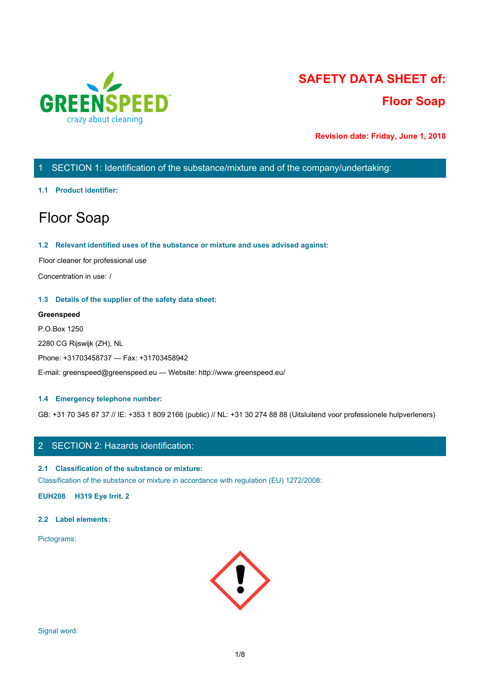

# **SAFETY DATA SHEET of: Floor Soap**

**Revision date: Friday, June 1, 2018**

# 1 SECTION 1: Identification of the substance/mixture and of the company/undertaking:

#### **1.1 Product identifier:**

# Floor Soap

#### **1.2 Relevant identified uses of the substance or mixture and uses advised against:**

Floor cleaner for professional use

Concentration in use: /

#### **1.3 Details of the supplier of the safety data sheet:**

#### **Greenspeed**

P.O.Box 1250 2280 CG Rijswijk (ZH), NL Phone: +31703458737 — Fax: +31703458942 E-mail: greenspeed@greenspeed.eu — Website: http://www.greenspeed.eu/

#### **1.4 Emergency telephone number:**

GB: +31 70 345 87 37 // IE: +353 1 809 2166 (public) // NL: +31 30 274 88 88 (Uitsluitend voor professionele hulpverleners)

# 2 SECTION 2: Hazards identification:

#### **2.1 Classification of the substance or mixture:**

Classification of the substance or mixture in accordance with regulation (EU) 1272/2008:

**EUH208 H319 Eye Irrit. 2**

#### **2.2 Label elements:**

Pictograms:

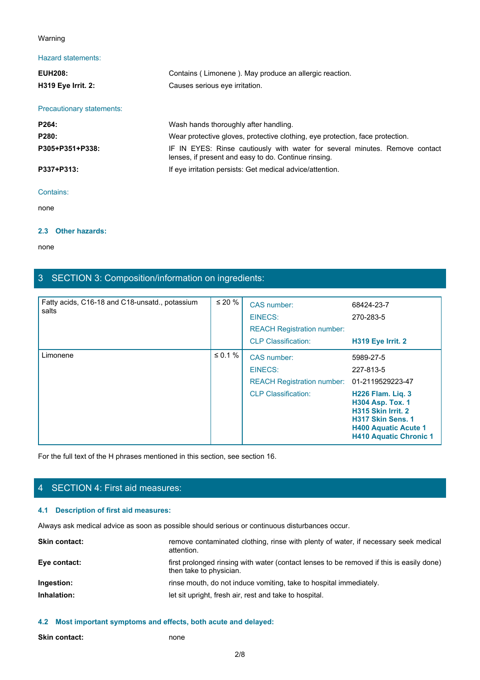#### Warning

## Hazard statements:

| Warning                   |                                                                                                                                     |  |
|---------------------------|-------------------------------------------------------------------------------------------------------------------------------------|--|
| <b>Hazard statements:</b> |                                                                                                                                     |  |
| <b>EUH208:</b>            | Contains (Limonene). May produce an allergic reaction.                                                                              |  |
| H319 Eye Irrit. 2:        | Causes serious eye irritation.                                                                                                      |  |
| Precautionary statements: |                                                                                                                                     |  |
| P264:                     | Wash hands thoroughly after handling.                                                                                               |  |
| P280:                     | Wear protective gloves, protective clothing, eye protection, face protection.                                                       |  |
| P305+P351+P338:           | IF IN EYES: Rinse cautiously with water for several minutes. Remove contact<br>lenses, if present and easy to do. Continue rinsing. |  |
| P337+P313:                | If eye irritation persists: Get medical advice/attention.                                                                           |  |
| Contains:                 |                                                                                                                                     |  |
| none                      |                                                                                                                                     |  |

#### Contains:

none and the state of the state of the state of the state of the state of the state of the state of the state of the state of the state of the state of the state of the state of the state of the state of the state of the s

#### **2.3 Other hazards:**

none and the state of the state of the state of the state of the state of the state of the state of the state of the state of the state of the state of the state of the state of the state of the state of the state of the s

# 3 SECTION 3: Composition/information on ingredients:

| Fatty acids, C16-18 and C18-unsatd., potassium<br>salts | $\leq 20 \%$  | CAS number:<br>EINECS:<br><b>REACH Registration number:</b><br><b>CLP Classification:</b> | 68424-23-7<br>270-283-5<br>H319 Eye Irrit. 2                                                                                                                                |
|---------------------------------------------------------|---------------|-------------------------------------------------------------------------------------------|-----------------------------------------------------------------------------------------------------------------------------------------------------------------------------|
| Limonene                                                | $\leq 0.1 \%$ | CAS number:<br>EINECS:<br><b>REACH Registration number:</b><br><b>CLP Classification:</b> | 5989-27-5<br>227-813-5<br>01-2119529223-47<br><b>H226 Flam. Lig. 3</b><br><b>H304 Asp. Tox. 1</b><br>H315 Skin Irrit. 2<br>H317 Skin Sens. 1<br><b>H400 Aquatic Acute 1</b> |

For the full text of the H phrases mentioned in this section, see section 16.

# 4 SECTION 4: First aid measures:

## **4.1 Description of first aid measures:**

Always ask medical advice as soon as possible should serious or continuous disturbances occur.

| remove contaminated clothing, rinse with plenty of water, if necessary seek medical<br><b>Skin contact:</b><br>attention.           |  |
|-------------------------------------------------------------------------------------------------------------------------------------|--|
| Eye contact:<br>first prolonged rinsing with water (contact lenses to be removed if this is easily done)<br>then take to physician. |  |
| rinse mouth, do not induce vomiting, take to hospital immediately.<br>Ingestion:                                                    |  |
| Inhalation:<br>let sit upright, fresh air, rest and take to hospital.                                                               |  |

#### **4.2 Most important symptoms and effects, both acute and delayed:**

| <b>Skin contact:</b> | none |
|----------------------|------|
|----------------------|------|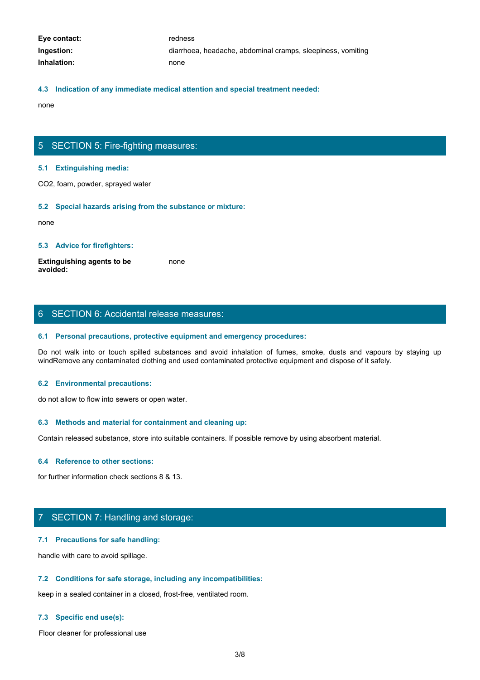| Eye contact: | redness                                                     |
|--------------|-------------------------------------------------------------|
| Ingestion:   | diarrhoea, headache, abdominal cramps, sleepiness, vomiting |
| Inhalation:  | none                                                        |

#### **4.3 Indication of any immediate medical attention and special treatment needed:**

none and the state of the state of the state of the state of the state of the state of the state of the state of the state of the state of the state of the state of the state of the state of the state of the state of the s

## 5 SECTION 5: Fire-fighting measures:

#### **5.1 Extinguishing media:**

CO2, foam, powder, sprayed water

#### **5.2 Special hazards arising from the substance or mixture:**

none and the state of the state of the state of the state of the state of the state of the state of the state of the state of the state of the state of the state of the state of the state of the state of the state of the s

#### **5.3 Advice for firefighters:**

**Extinguishing agents to be avoided:** none and the state of the state of the state of the state of the state of the state of the state of the state of the state of the state of the state of the state of the state of the state of the state of the state of the s

## 6 SECTION 6: Accidental release measures:

#### **6.1 Personal precautions, protective equipment and emergency procedures:**

Donce<br>
S. S. Extinguishing media:<br>
CO2, foam, powder, sprayed water<br>
S. S. Special hazards arising from the substance or mixture:<br>
Extinguishing agents to be<br>
worlded:<br>
S. Advice for firefighters:<br>
S. Personal precautions, windRemove any contaminated clothing and used contaminated protective equipment and dispose of it safely.

#### **6.2 Environmental precautions:**

do not allow to flow into sewers or open water.

#### **6.3 Methods and material for containment and cleaning up:**

Contain released substance, store into suitable containers. If possible remove by using absorbent material.

#### **6.4 Reference to other sections:**

for further information check sections 8 & 13.

# 7 SECTION 7: Handling and storage:

#### **7.1 Precautions for safe handling:**

handle with care to avoid spillage.

#### **7.2 Conditions for safe storage, including any incompatibilities:**

keep in a sealed container in a closed, frost-free, ventilated room.

#### **7.3 Specific end use(s):**

Floor cleaner for professional use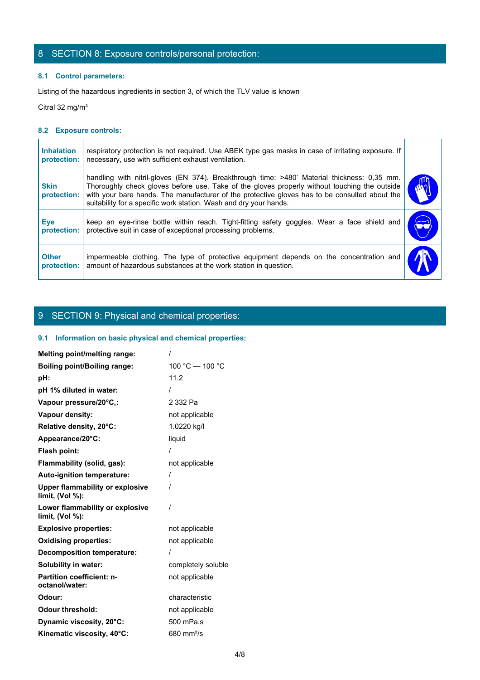# 8 SECTION 8: Exposure controls/personal protection:

## **8.1 Control parameters:**

## **8.2 Exposure controls:**

|                                  | 8 SECTION 8: Exposure controls/personal protection:                                                                                                                                                                                                                                                                                                               |                       |
|----------------------------------|-------------------------------------------------------------------------------------------------------------------------------------------------------------------------------------------------------------------------------------------------------------------------------------------------------------------------------------------------------------------|-----------------------|
| 8.1 Control parameters:          |                                                                                                                                                                                                                                                                                                                                                                   |                       |
|                                  | Listing of the hazardous ingredients in section 3, of which the TLV value is known                                                                                                                                                                                                                                                                                |                       |
| Citral 32 mg/m <sup>3</sup>      |                                                                                                                                                                                                                                                                                                                                                                   |                       |
| 8.2 Exposure controls:           |                                                                                                                                                                                                                                                                                                                                                                   |                       |
| <b>Inhalation</b><br>protection: | respiratory protection is not required. Use ABEK type gas masks in case of irritating exposure. If<br>necessary, use with sufficient exhaust ventilation.                                                                                                                                                                                                         |                       |
| <b>Skin</b><br>protection:       | handling with nitril-gloves (EN 374). Breakthrough time: >480' Material thickness: 0,35 mm.<br>Thoroughly check gloves before use. Take of the gloves properly without touching the outside<br>with your bare hands. The manufacturer of the protective gloves has to be consulted about the<br>suitability for a specific work station. Wash and dry your hands. |                       |
| <b>Eye</b><br>protection:        | keep an eye-rinse bottle within reach. Tight-fitting safety goggles. Wear a face shield and<br>protective suit in case of exceptional processing problems.                                                                                                                                                                                                        | $\blacktriangleright$ |
| <b>Other</b>                     | impermeable clothing. The type of protective equipment depends on the concentration and<br>amount of hazardous substances at the work station in question.                                                                                                                                                                                                        |                       |

# 9 SECTION 9: Physical and chemical properties:

### **9.1 Information on basic physical and chemical properties:**

| Melting point/melting range:                              |                    |
|-----------------------------------------------------------|--------------------|
| <b>Boiling point/Boiling range:</b>                       | 100 °C - 100 °C    |
| pH:                                                       | 11.2               |
| pH 1% diluted in water:                                   |                    |
| Vapour pressure/20°C,:                                    | 2 332 Pa           |
| Vapour density:                                           | not applicable     |
| Relative density, 20°C:                                   | 1.0220 kg/l        |
| Appearance/20°C:                                          | liquid             |
| Flash point:                                              |                    |
| Flammability (solid, gas):                                | not applicable     |
| Auto-ignition temperature:                                | $\prime$           |
| <b>Upper flammability or explosive</b><br>limit, (Vol %): |                    |
| Lower flammability or explosive<br>limit, (Vol %):        | $\prime$           |
| <b>Explosive properties:</b>                              | not applicable     |
| <b>Oxidising properties:</b>                              | not applicable     |
| <b>Decomposition temperature:</b>                         |                    |
| Solubility in water:                                      | completely soluble |
| <b>Partition coefficient: n-</b><br>octanol/water:        | not applicable     |
| Odour:                                                    | characteristic     |
| <b>Odour threshold:</b>                                   | not applicable     |
| Dynamic viscosity, 20°C:                                  | 500 mPa.s          |
| Kinematic viscosity, 40°C:                                | $680$ mm $2$ /s    |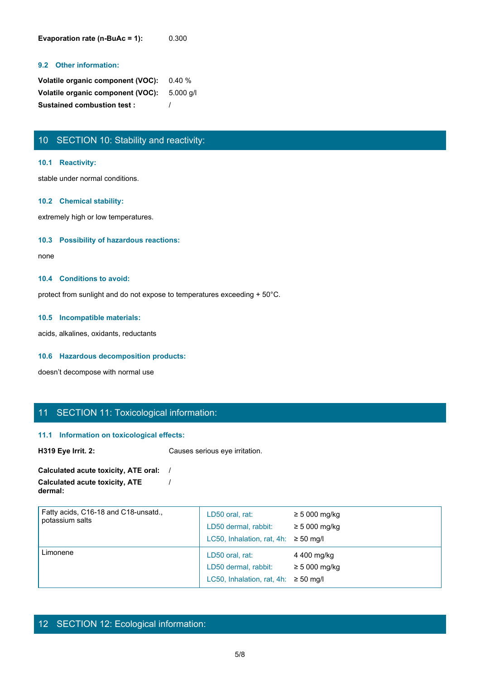**Evaporation rate (n-BuAc = 1):** 0.300

#### **9.2 Other information:**

| <b>Volatile organic component (VOC):</b> 0.40 % |  |
|-------------------------------------------------|--|
| Volatile organic component (VOC): 5.000 q/l     |  |
| <b>Sustained combustion test:</b>               |  |

# 10 SECTION 10: Stability and reactivity:

#### **10.1 Reactivity:**

stable under normal conditions.

#### **10.2 Chemical stability:**

extremely high or low temperatures.

#### **10.3 Possibility of hazardous reactions:**

none and the state of the state of the state of the state of the state of the state of the state of the state of the state of the state of the state of the state of the state of the state of the state of the state of the s

#### **10.4 Conditions to avoid:**

protect from sunlight and do not expose to temperatures exceeding + 50°C.

#### **10.5 Incompatible materials:**

acids, alkalines, oxidants, reductants

#### **10.6 Hazardous decomposition products:**

doesn't decompose with normal use

# 11 SECTION 11: Toxicological information:

#### **11.1 Information on toxicological effects:**

**H319 Eye Irrit. 2:** Causes serious eye irritation.

#### **Calculated acute toxicity, ATE oral:** / **Calculated acute toxicity, ATE dermal:** /

| Fatty acids, C16-18 and C18-unsatd.,<br>potassium salts | LD50 oral, rat:<br>LD50 dermal, rabbit:<br>LC50, Inhalation, rat, 4h: $\geq$ 50 mg/l | $\geq 5000$ mg/kg<br>$\geq 5000$ mg/kg |  |
|---------------------------------------------------------|--------------------------------------------------------------------------------------|----------------------------------------|--|
| Limonene                                                | LD50 oral, rat:<br>LD50 dermal, rabbit:<br>LC50, Inhalation, rat, 4h: $\geq$ 50 mg/l | 4 400 mg/kg<br>$\geq$ 5 000 mg/kg      |  |

# 12 SECTION 12: Ecological information: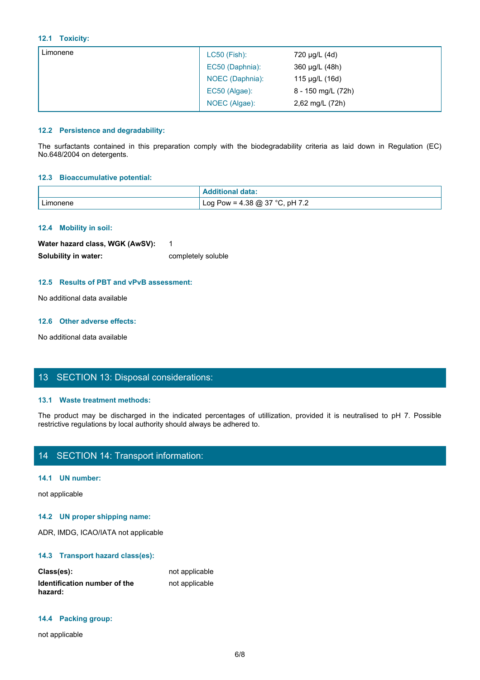#### **12.1 Toxicity:**

| 12.1 Toxicity:                      |                                                                                                                         |                    |  |
|-------------------------------------|-------------------------------------------------------------------------------------------------------------------------|--------------------|--|
| Limonene                            | LC50 (Fish):                                                                                                            | 720 µg/L (4d)      |  |
|                                     | EC50 (Daphnia):                                                                                                         | 360 µg/L (48h)     |  |
|                                     | NOEC (Daphnia):                                                                                                         | 115 µg/L (16d)     |  |
|                                     | EC50 (Algae):                                                                                                           | 8 - 150 mg/L (72h) |  |
|                                     | NOEC (Algae):                                                                                                           | 2,62 mg/L (72h)    |  |
|                                     |                                                                                                                         |                    |  |
| 12.2 Persistence and degradability: |                                                                                                                         |                    |  |
|                                     | The surfactants contained in this preparation comply with the biodegradability criteria as laid down in Regulation (EC) |                    |  |
| No.648/2004 on detergents.          |                                                                                                                         |                    |  |
| 12.3 Bioaccumulative potential:     |                                                                                                                         |                    |  |
|                                     | <b>Additional data:</b>                                                                                                 |                    |  |
| Limonene                            | Log Pow = $4.38$ @ 37 °C, pH 7.2                                                                                        |                    |  |

#### **12.2 Persistence and degradability:**

#### **12.3 Bioaccumulative potential:**

| 12.3 Bioaccumulative potential:                                                                                                                                                                                                                                                                                                                                                      |                                                                                                                          |  |
|--------------------------------------------------------------------------------------------------------------------------------------------------------------------------------------------------------------------------------------------------------------------------------------------------------------------------------------------------------------------------------------|--------------------------------------------------------------------------------------------------------------------------|--|
|                                                                                                                                                                                                                                                                                                                                                                                      | <b>Additional data:</b>                                                                                                  |  |
| Limonene                                                                                                                                                                                                                                                                                                                                                                             | Log Pow = $4.38 \text{ } \textcircled{2}$ 37 °C, pH 7.2                                                                  |  |
|                                                                                                                                                                                                                                                                                                                                                                                      |                                                                                                                          |  |
| 12.4 Mobility in soil:                                                                                                                                                                                                                                                                                                                                                               |                                                                                                                          |  |
| Water hazard class, WGK (AwSV):                                                                                                                                                                                                                                                                                                                                                      | -1                                                                                                                       |  |
| Solubility in water:                                                                                                                                                                                                                                                                                                                                                                 | completely soluble                                                                                                       |  |
|                                                                                                                                                                                                                                                                                                                                                                                      |                                                                                                                          |  |
| 12.5 Results of PBT and vPvB assessment:                                                                                                                                                                                                                                                                                                                                             |                                                                                                                          |  |
| No additional data available                                                                                                                                                                                                                                                                                                                                                         |                                                                                                                          |  |
|                                                                                                                                                                                                                                                                                                                                                                                      |                                                                                                                          |  |
| 12.6 Other adverse effects:                                                                                                                                                                                                                                                                                                                                                          |                                                                                                                          |  |
| No additional data available                                                                                                                                                                                                                                                                                                                                                         |                                                                                                                          |  |
|                                                                                                                                                                                                                                                                                                                                                                                      |                                                                                                                          |  |
|                                                                                                                                                                                                                                                                                                                                                                                      |                                                                                                                          |  |
| 13 SECTION 13: Disposal considerations:                                                                                                                                                                                                                                                                                                                                              |                                                                                                                          |  |
|                                                                                                                                                                                                                                                                                                                                                                                      |                                                                                                                          |  |
| 13.1 Waste treatment methods:                                                                                                                                                                                                                                                                                                                                                        |                                                                                                                          |  |
|                                                                                                                                                                                                                                                                                                                                                                                      | The product may be discharged in the indicated percentages of utillization, provided it is neutralised to pH 7. Possible |  |
| restrictive regulations by local authority should always be adhered to.                                                                                                                                                                                                                                                                                                              |                                                                                                                          |  |
|                                                                                                                                                                                                                                                                                                                                                                                      |                                                                                                                          |  |
| 14 SECTION 14: Transport information:                                                                                                                                                                                                                                                                                                                                                |                                                                                                                          |  |
|                                                                                                                                                                                                                                                                                                                                                                                      |                                                                                                                          |  |
| $\overline{a}$ $\overline{a}$ $\overline{a}$ $\overline{a}$ $\overline{a}$ $\overline{a}$ $\overline{a}$ $\overline{a}$ $\overline{a}$ $\overline{a}$ $\overline{a}$ $\overline{a}$ $\overline{a}$ $\overline{a}$ $\overline{a}$ $\overline{a}$ $\overline{a}$ $\overline{a}$ $\overline{a}$ $\overline{a}$ $\overline{a}$ $\overline{a}$ $\overline{a}$ $\overline{a}$ $\overline{$ |                                                                                                                          |  |

#### **12.4 Mobility in soil:**

| Water hazard class, WGK (AwSV): |                    |
|---------------------------------|--------------------|
| Solubility in water:            | completely soluble |

#### **12.5 Results of PBT and vPvB assessment:**

#### **12.6 Other adverse effects:**

## 13 SECTION 13: Disposal considerations:

#### **13.1 Waste treatment methods:**

# 14 SECTION 14: Transport information:

#### **14.1 UN number:**

not applicable

#### **14.2 UN proper shipping name:**

ADR, IMDG, ICAO/IATA not applicable

#### **14.3 Transport hazard class(es):**

| Class(es):                              | not applicable |
|-----------------------------------------|----------------|
| Identification number of the<br>hazard: | not applicable |

#### **14.4 Packing group:**

not applicable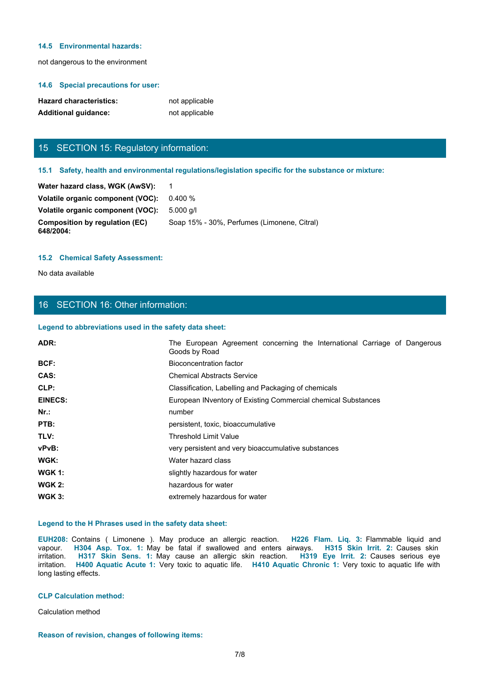#### **14.5 Environmental hazards:**

not dangerous to the environment

#### **14.6 Special precautions for user:**

| <b>Hazard characteristics:</b> | not applicable |
|--------------------------------|----------------|
| <b>Additional guidance:</b>    | not applicable |

# 15 SECTION 15: Regulatory information:

#### **15.1 Safety, health and environmental regulations/legislation specific for the substance or mixture:**

| Water hazard class, WGK (AwSV):             |                                             |
|---------------------------------------------|---------------------------------------------|
| Volatile organic component (VOC): 0.400 %   |                                             |
| Volatile organic component (VOC):           | 5.000 a/l                                   |
| Composition by regulation (EC)<br>648/2004: | Soap 15% - 30%, Perfumes (Limonene, Citral) |

#### **15.2 Chemical Safety Assessment:**

# 16 SECTION 16: Other information:

#### **Legend to abbreviations used in the safety data sheet:**

| <b>Hazard characteristics:</b>                         | not applicable                                                                                                                                                                                                                                                                                                                                                                                                                                    |
|--------------------------------------------------------|---------------------------------------------------------------------------------------------------------------------------------------------------------------------------------------------------------------------------------------------------------------------------------------------------------------------------------------------------------------------------------------------------------------------------------------------------|
| <b>Additional guidance:</b>                            | not applicable                                                                                                                                                                                                                                                                                                                                                                                                                                    |
|                                                        |                                                                                                                                                                                                                                                                                                                                                                                                                                                   |
| 15 SECTION 15: Regulatory information:                 |                                                                                                                                                                                                                                                                                                                                                                                                                                                   |
|                                                        |                                                                                                                                                                                                                                                                                                                                                                                                                                                   |
|                                                        | 15.1 Safety, health and environmental regulations/legislation specific for the substance or mixture:                                                                                                                                                                                                                                                                                                                                              |
| Water hazard class, WGK (AwSV):                        | $\mathbf 1$                                                                                                                                                                                                                                                                                                                                                                                                                                       |
| Volatile organic component (VOC):                      | 0.400%                                                                                                                                                                                                                                                                                                                                                                                                                                            |
| Volatile organic component (VOC):                      | 5.000 g/l                                                                                                                                                                                                                                                                                                                                                                                                                                         |
| <b>Composition by regulation (EC)</b><br>648/2004:     | Soap 15% - 30%, Perfumes (Limonene, Citral)                                                                                                                                                                                                                                                                                                                                                                                                       |
| <b>15.2 Chemical Safety Assessment:</b>                |                                                                                                                                                                                                                                                                                                                                                                                                                                                   |
|                                                        |                                                                                                                                                                                                                                                                                                                                                                                                                                                   |
| No data available                                      |                                                                                                                                                                                                                                                                                                                                                                                                                                                   |
|                                                        |                                                                                                                                                                                                                                                                                                                                                                                                                                                   |
| 16 SECTION 16: Other information:                      |                                                                                                                                                                                                                                                                                                                                                                                                                                                   |
| Legend to abbreviations used in the safety data sheet: |                                                                                                                                                                                                                                                                                                                                                                                                                                                   |
| ADR:                                                   | The European Agreement concerning the International Carriage of Dangerous                                                                                                                                                                                                                                                                                                                                                                         |
|                                                        | Goods by Road                                                                                                                                                                                                                                                                                                                                                                                                                                     |
| BCF:                                                   | <b>Bioconcentration factor</b>                                                                                                                                                                                                                                                                                                                                                                                                                    |
| CAS:                                                   | <b>Chemical Abstracts Service</b>                                                                                                                                                                                                                                                                                                                                                                                                                 |
| CLP:                                                   | Classification, Labelling and Packaging of chemicals                                                                                                                                                                                                                                                                                                                                                                                              |
| <b>EINECS:</b>                                         | European INventory of Existing Commercial chemical Substances                                                                                                                                                                                                                                                                                                                                                                                     |
| Nr.:                                                   | number                                                                                                                                                                                                                                                                                                                                                                                                                                            |
| PTB:                                                   | persistent, toxic, bioaccumulative                                                                                                                                                                                                                                                                                                                                                                                                                |
| TLV:                                                   | Threshold Limit Value                                                                                                                                                                                                                                                                                                                                                                                                                             |
| vPvB:                                                  | very persistent and very bioaccumulative substances                                                                                                                                                                                                                                                                                                                                                                                               |
| WGK:                                                   | Water hazard class                                                                                                                                                                                                                                                                                                                                                                                                                                |
| <b>WGK 1:</b>                                          | slightly hazardous for water                                                                                                                                                                                                                                                                                                                                                                                                                      |
| <b>WGK 2:</b>                                          | hazardous for water                                                                                                                                                                                                                                                                                                                                                                                                                               |
| <b>WGK 3:</b>                                          | extremely hazardous for water                                                                                                                                                                                                                                                                                                                                                                                                                     |
| Legend to the H Phrases used in the safety data sheet: |                                                                                                                                                                                                                                                                                                                                                                                                                                                   |
| vapour.<br>long lasting effects.                       | EUH208: Contains ( Limonene ). May produce an allergic reaction. H226 Flam. Liq. 3: Flammable liquid and<br>H304 Asp. Tox. 1: May be fatal if swallowed and enters airways. H315 Skin Irrit. 2: Causes skin<br>irritation. H317 Skin Sens. 1: May cause an allergic skin reaction. H319 Eye Irrit. 2: Causes serious eye<br>irritation. H400 Aquatic Acute 1: Very toxic to aquatic life. H410 Aquatic Chronic 1: Very toxic to aquatic life with |
| <b>CLP Calculation method:</b>                         |                                                                                                                                                                                                                                                                                                                                                                                                                                                   |
| Calculation method                                     |                                                                                                                                                                                                                                                                                                                                                                                                                                                   |
|                                                        |                                                                                                                                                                                                                                                                                                                                                                                                                                                   |

#### **Legend to the H Phrases used in the safety data sheet:**

#### **CLP Calculation method:**

#### **Reason of revision, changes of following items:**